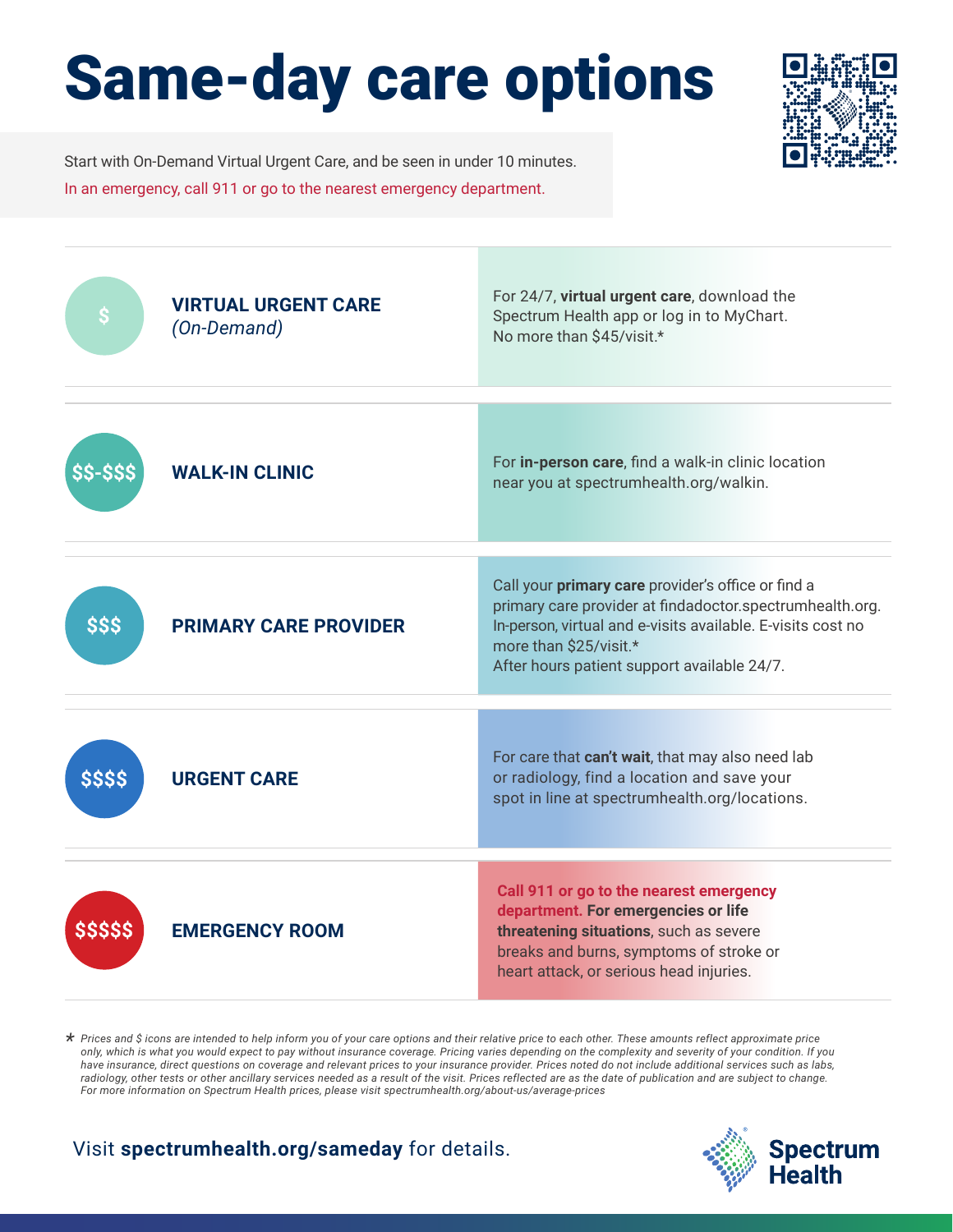## Same-day care options



Start with On-Demand Virtual Urgent Care, and be seen in under 10 minutes. In an emergency, call 911 or go to the nearest emergency department.



*Prices and \$ icons are intended to help inform you of your care options and their relative price to each other. These amounts reflect approximate price \* only, which is what you would expect to pay without insurance coverage. Pricing varies depending on the complexity and severity of your condition. If you have insurance, direct questions on coverage and relevant prices to your insurance provider. Prices noted do not include additional services such as labs, radiology, other tests or other ancillary services needed as a result of the visit. Prices reflected are as the date of publication and are subject to change. For more information on Spectrum Health prices, please visit spectrumhealth.org/about-us/average-prices*

Visit **spectrumhealth.org/sameday** for details.